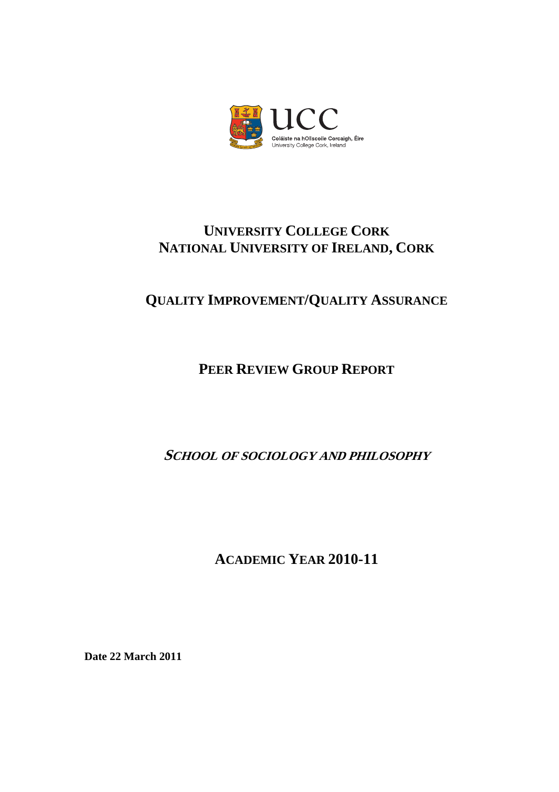

## **UNIVERSITY COLLEGE CORK NATIONAL UNIVERSITY OF IRELAND, CORK**

# **QUALITY IMPROVEMENT/QUALITY ASSURANCE**

## **PEER REVIEW GROUP REPORT**

**SCHOOL OF SOCIOLOGY AND PHILOSOPHY**

**ACADEMIC YEAR 2010-11** 

**Date 22 March 2011**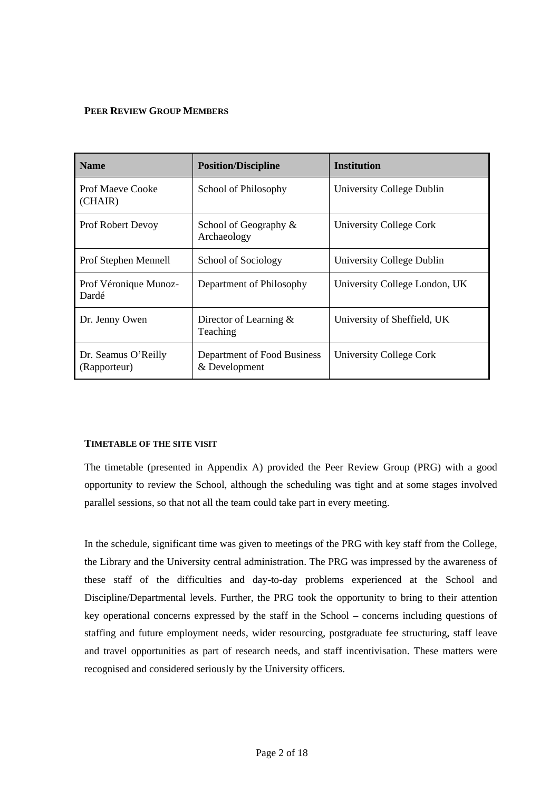#### **PEER REVIEW GROUP MEMBERS**

| <b>Name</b>                         | <b>Position/Discipline</b>                   | <b>Institution</b>            |
|-------------------------------------|----------------------------------------------|-------------------------------|
| <b>Prof Maeve Cooke</b><br>(CHAIR)  | School of Philosophy                         | University College Dublin     |
| <b>Prof Robert Devoy</b>            | School of Geography $\&$<br>Archaeology      | University College Cork       |
| Prof Stephen Mennell                | School of Sociology                          | University College Dublin     |
| Prof Véronique Munoz-<br>Dardé      | Department of Philosophy                     | University College London, UK |
| Dr. Jenny Owen                      | Director of Learning $\&$<br>Teaching        | University of Sheffield, UK   |
| Dr. Seamus O'Reilly<br>(Rapporteur) | Department of Food Business<br>& Development | University College Cork       |

#### **TIMETABLE OF THE SITE VISIT**

The timetable (presented in Appendix A) provided the Peer Review Group (PRG) with a good opportunity to review the School, although the scheduling was tight and at some stages involved parallel sessions, so that not all the team could take part in every meeting.

In the schedule, significant time was given to meetings of the PRG with key staff from the College, the Library and the University central administration. The PRG was impressed by the awareness of these staff of the difficulties and day-to-day problems experienced at the School and Discipline/Departmental levels. Further, the PRG took the opportunity to bring to their attention key operational concerns expressed by the staff in the School – concerns including questions of staffing and future employment needs, wider resourcing, postgraduate fee structuring, staff leave and travel opportunities as part of research needs, and staff incentivisation. These matters were recognised and considered seriously by the University officers.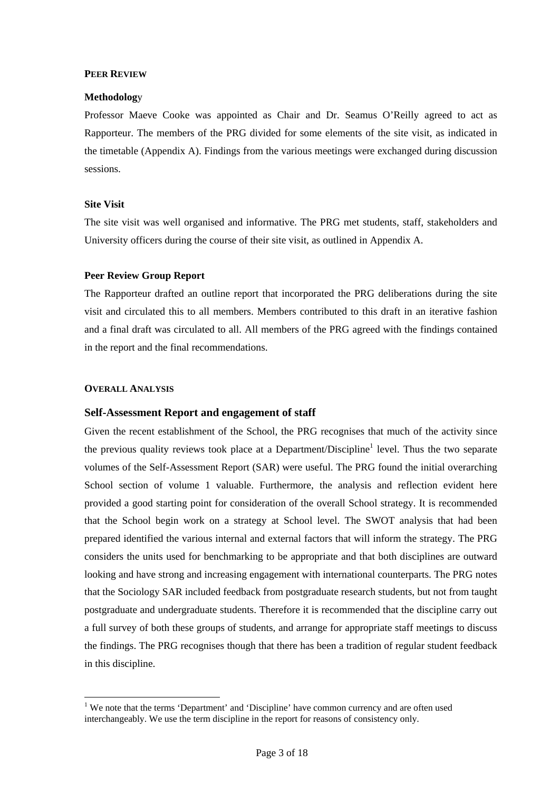#### **PEER REVIEW**

#### **Methodolog**y

Professor Maeve Cooke was appointed as Chair and Dr. Seamus O'Reilly agreed to act as Rapporteur. The members of the PRG divided for some elements of the site visit, as indicated in the timetable (Appendix A). Findings from the various meetings were exchanged during discussion sessions.

#### **Site Visit**

The site visit was well organised and informative. The PRG met students, staff, stakeholders and University officers during the course of their site visit, as outlined in Appendix A.

#### **Peer Review Group Report**

The Rapporteur drafted an outline report that incorporated the PRG deliberations during the site visit and circulated this to all members. Members contributed to this draft in an iterative fashion and a final draft was circulated to all. All members of the PRG agreed with the findings contained in the report and the final recommendations.

#### **OVERALL ANALYSIS**

 $\overline{a}$ 

#### **Self-Assessment Report and engagement of staff**

Given the recent establishment of the School, the PRG recognises that much of the activity since the previous quality reviews took place at a Department/Discipline<sup>1</sup> level. Thus the two separate volumes of the Self-Assessment Report (SAR) were useful. The PRG found the initial overarching School section of volume 1 valuable. Furthermore, the analysis and reflection evident here provided a good starting point for consideration of the overall School strategy. It is recommended that the School begin work on a strategy at School level. The SWOT analysis that had been prepared identified the various internal and external factors that will inform the strategy. The PRG considers the units used for benchmarking to be appropriate and that both disciplines are outward looking and have strong and increasing engagement with international counterparts. The PRG notes that the Sociology SAR included feedback from postgraduate research students, but not from taught postgraduate and undergraduate students. Therefore it is recommended that the discipline carry out a full survey of both these groups of students, and arrange for appropriate staff meetings to discuss the findings. The PRG recognises though that there has been a tradition of regular student feedback in this discipline.

<sup>&</sup>lt;sup>1</sup> We note that the terms 'Department' and 'Discipline' have common currency and are often used interchangeably. We use the term discipline in the report for reasons of consistency only.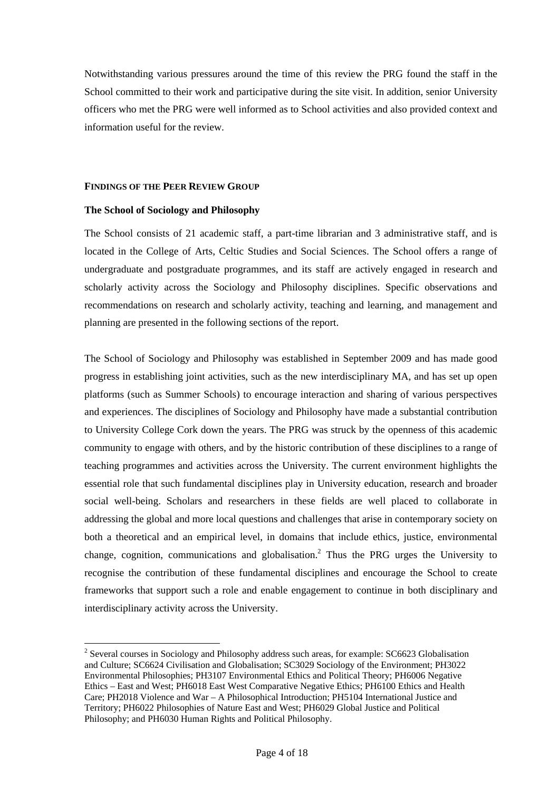Notwithstanding various pressures around the time of this review the PRG found the staff in the School committed to their work and participative during the site visit. In addition, senior University officers who met the PRG were well informed as to School activities and also provided context and information useful for the review.

#### **FINDINGS OF THE PEER REVIEW GROUP**

#### **The School of Sociology and Philosophy**

 $\overline{a}$ 

The School consists of 21 academic staff, a part-time librarian and 3 administrative staff, and is located in the College of Arts, Celtic Studies and Social Sciences. The School offers a range of undergraduate and postgraduate programmes, and its staff are actively engaged in research and scholarly activity across the Sociology and Philosophy disciplines. Specific observations and recommendations on research and scholarly activity, teaching and learning, and management and planning are presented in the following sections of the report.

The School of Sociology and Philosophy was established in September 2009 and has made good progress in establishing joint activities, such as the new interdisciplinary MA, and has set up open platforms (such as Summer Schools) to encourage interaction and sharing of various perspectives and experiences. The disciplines of Sociology and Philosophy have made a substantial contribution to University College Cork down the years. The PRG was struck by the openness of this academic community to engage with others, and by the historic contribution of these disciplines to a range of teaching programmes and activities across the University. The current environment highlights the essential role that such fundamental disciplines play in University education, research and broader social well-being. Scholars and researchers in these fields are well placed to collaborate in addressing the global and more local questions and challenges that arise in contemporary society on both a theoretical and an empirical level, in domains that include ethics, justice, environmental change, cognition, communications and globalisation.<sup>2</sup> Thus the PRG urges the University to recognise the contribution of these fundamental disciplines and encourage the School to create frameworks that support such a role and enable engagement to continue in both disciplinary and interdisciplinary activity across the University.

 $2^2$  Several courses in Sociology and Philosophy address such areas, for example: SC6623 Globalisation and Culture; SC6624 Civilisation and Globalisation; SC3029 Sociology of the Environment; PH3022 Environmental Philosophies; PH3107 Environmental Ethics and Political Theory; PH6006 Negative Ethics – East and West; PH6018 East West Comparative Negative Ethics; PH6100 Ethics and Health Care; PH2018 Violence and War – A Philosophical Introduction; PH5104 International Justice and Territory; PH6022 Philosophies of Nature East and West; PH6029 Global Justice and Political Philosophy; and PH6030 Human Rights and Political Philosophy.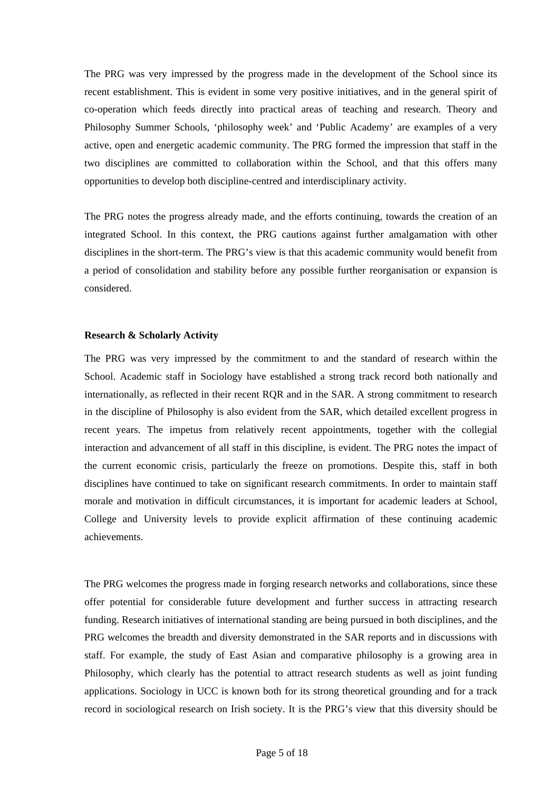The PRG was very impressed by the progress made in the development of the School since its recent establishment. This is evident in some very positive initiatives, and in the general spirit of co-operation which feeds directly into practical areas of teaching and research. Theory and Philosophy Summer Schools, 'philosophy week' and 'Public Academy' are examples of a very active, open and energetic academic community. The PRG formed the impression that staff in the two disciplines are committed to collaboration within the School, and that this offers many opportunities to develop both discipline-centred and interdisciplinary activity.

The PRG notes the progress already made, and the efforts continuing, towards the creation of an integrated School. In this context, the PRG cautions against further amalgamation with other disciplines in the short-term. The PRG's view is that this academic community would benefit from a period of consolidation and stability before any possible further reorganisation or expansion is considered.

#### **Research & Scholarly Activity**

The PRG was very impressed by the commitment to and the standard of research within the School. Academic staff in Sociology have established a strong track record both nationally and internationally, as reflected in their recent RQR and in the SAR. A strong commitment to research in the discipline of Philosophy is also evident from the SAR, which detailed excellent progress in recent years. The impetus from relatively recent appointments, together with the collegial interaction and advancement of all staff in this discipline, is evident. The PRG notes the impact of the current economic crisis, particularly the freeze on promotions. Despite this, staff in both disciplines have continued to take on significant research commitments. In order to maintain staff morale and motivation in difficult circumstances, it is important for academic leaders at School, College and University levels to provide explicit affirmation of these continuing academic achievements.

The PRG welcomes the progress made in forging research networks and collaborations, since these offer potential for considerable future development and further success in attracting research funding. Research initiatives of international standing are being pursued in both disciplines, and the PRG welcomes the breadth and diversity demonstrated in the SAR reports and in discussions with staff. For example, the study of East Asian and comparative philosophy is a growing area in Philosophy, which clearly has the potential to attract research students as well as joint funding applications. Sociology in UCC is known both for its strong theoretical grounding and for a track record in sociological research on Irish society. It is the PRG's view that this diversity should be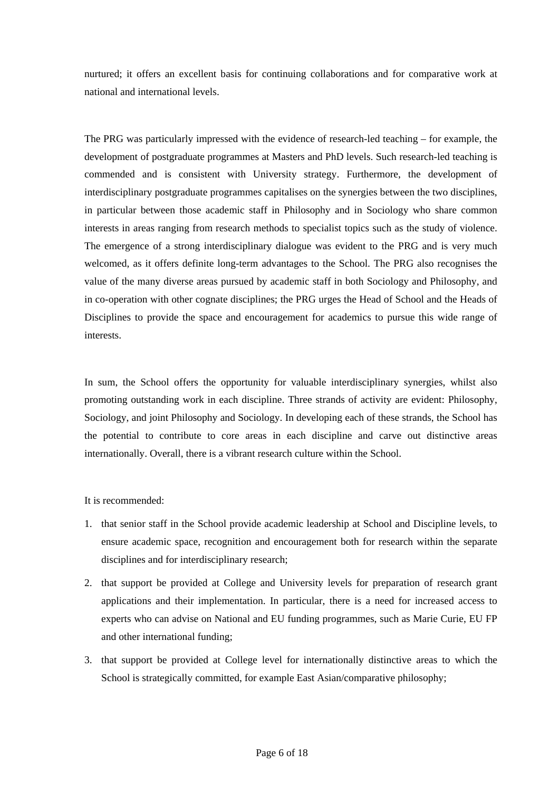nurtured; it offers an excellent basis for continuing collaborations and for comparative work at national and international levels.

The PRG was particularly impressed with the evidence of research-led teaching – for example, the development of postgraduate programmes at Masters and PhD levels. Such research-led teaching is commended and is consistent with University strategy. Furthermore, the development of interdisciplinary postgraduate programmes capitalises on the synergies between the two disciplines, in particular between those academic staff in Philosophy and in Sociology who share common interests in areas ranging from research methods to specialist topics such as the study of violence. The emergence of a strong interdisciplinary dialogue was evident to the PRG and is very much welcomed, as it offers definite long-term advantages to the School. The PRG also recognises the value of the many diverse areas pursued by academic staff in both Sociology and Philosophy, and in co-operation with other cognate disciplines; the PRG urges the Head of School and the Heads of Disciplines to provide the space and encouragement for academics to pursue this wide range of interests.

In sum, the School offers the opportunity for valuable interdisciplinary synergies, whilst also promoting outstanding work in each discipline. Three strands of activity are evident: Philosophy, Sociology, and joint Philosophy and Sociology. In developing each of these strands, the School has the potential to contribute to core areas in each discipline and carve out distinctive areas internationally. Overall, there is a vibrant research culture within the School.

It is recommended:

- 1. that senior staff in the School provide academic leadership at School and Discipline levels, to ensure academic space, recognition and encouragement both for research within the separate disciplines and for interdisciplinary research;
- 2. that support be provided at College and University levels for preparation of research grant applications and their implementation. In particular, there is a need for increased access to experts who can advise on National and EU funding programmes, such as Marie Curie, EU FP and other international funding;
- 3. that support be provided at College level for internationally distinctive areas to which the School is strategically committed, for example East Asian/comparative philosophy;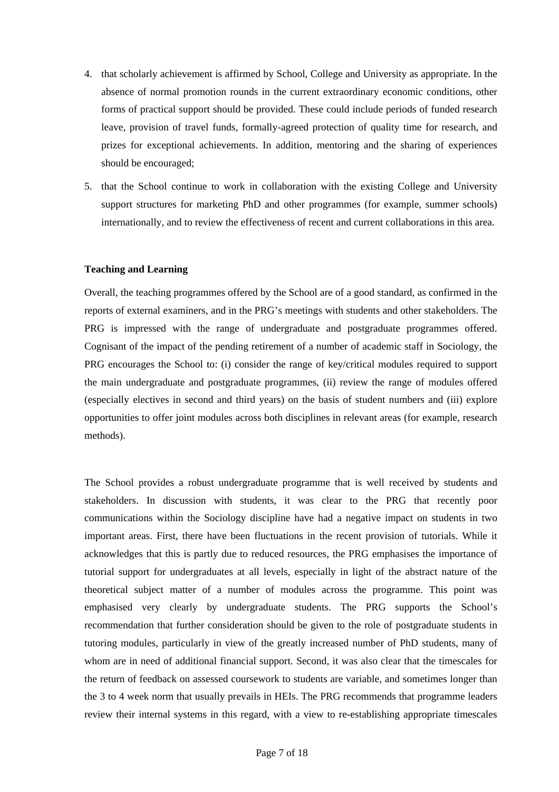- 4. that scholarly achievement is affirmed by School, College and University as appropriate. In the absence of normal promotion rounds in the current extraordinary economic conditions, other forms of practical support should be provided. These could include periods of funded research leave, provision of travel funds, formally-agreed protection of quality time for research, and prizes for exceptional achievements. In addition, mentoring and the sharing of experiences should be encouraged;
- 5. that the School continue to work in collaboration with the existing College and University support structures for marketing PhD and other programmes (for example, summer schools) internationally, and to review the effectiveness of recent and current collaborations in this area.

#### **Teaching and Learning**

Overall, the teaching programmes offered by the School are of a good standard, as confirmed in the reports of external examiners, and in the PRG's meetings with students and other stakeholders. The PRG is impressed with the range of undergraduate and postgraduate programmes offered. Cognisant of the impact of the pending retirement of a number of academic staff in Sociology, the PRG encourages the School to: (i) consider the range of key/critical modules required to support the main undergraduate and postgraduate programmes, (ii) review the range of modules offered (especially electives in second and third years) on the basis of student numbers and (iii) explore opportunities to offer joint modules across both disciplines in relevant areas (for example, research methods).

The School provides a robust undergraduate programme that is well received by students and stakeholders. In discussion with students, it was clear to the PRG that recently poor communications within the Sociology discipline have had a negative impact on students in two important areas. First, there have been fluctuations in the recent provision of tutorials. While it acknowledges that this is partly due to reduced resources, the PRG emphasises the importance of tutorial support for undergraduates at all levels, especially in light of the abstract nature of the theoretical subject matter of a number of modules across the programme. This point was emphasised very clearly by undergraduate students. The PRG supports the School's recommendation that further consideration should be given to the role of postgraduate students in tutoring modules, particularly in view of the greatly increased number of PhD students, many of whom are in need of additional financial support. Second, it was also clear that the timescales for the return of feedback on assessed coursework to students are variable, and sometimes longer than the 3 to 4 week norm that usually prevails in HEIs. The PRG recommends that programme leaders review their internal systems in this regard, with a view to re-establishing appropriate timescales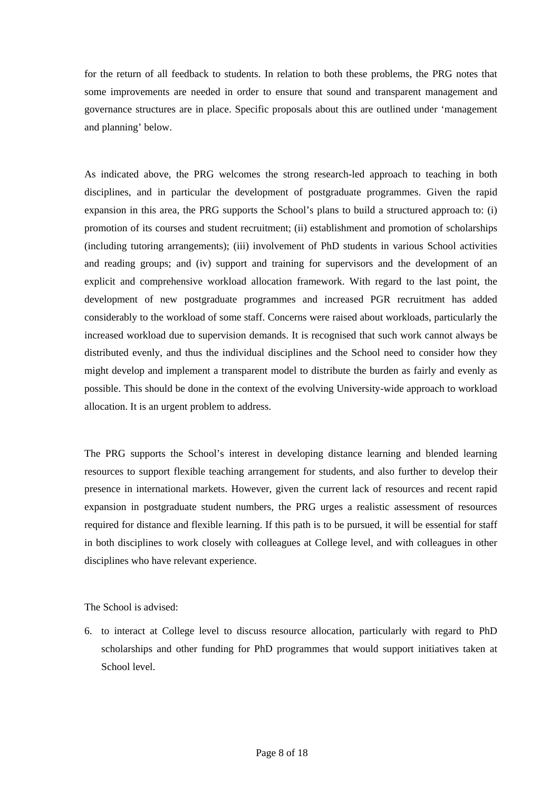for the return of all feedback to students. In relation to both these problems, the PRG notes that some improvements are needed in order to ensure that sound and transparent management and governance structures are in place. Specific proposals about this are outlined under 'management and planning' below.

As indicated above, the PRG welcomes the strong research-led approach to teaching in both disciplines, and in particular the development of postgraduate programmes. Given the rapid expansion in this area, the PRG supports the School's plans to build a structured approach to: (i) promotion of its courses and student recruitment; (ii) establishment and promotion of scholarships (including tutoring arrangements); (iii) involvement of PhD students in various School activities and reading groups; and (iv) support and training for supervisors and the development of an explicit and comprehensive workload allocation framework. With regard to the last point, the development of new postgraduate programmes and increased PGR recruitment has added considerably to the workload of some staff. Concerns were raised about workloads, particularly the increased workload due to supervision demands. It is recognised that such work cannot always be distributed evenly, and thus the individual disciplines and the School need to consider how they might develop and implement a transparent model to distribute the burden as fairly and evenly as possible. This should be done in the context of the evolving University-wide approach to workload allocation. It is an urgent problem to address.

The PRG supports the School's interest in developing distance learning and blended learning resources to support flexible teaching arrangement for students, and also further to develop their presence in international markets. However, given the current lack of resources and recent rapid expansion in postgraduate student numbers, the PRG urges a realistic assessment of resources required for distance and flexible learning. If this path is to be pursued, it will be essential for staff in both disciplines to work closely with colleagues at College level, and with colleagues in other disciplines who have relevant experience.

The School is advised:

6. to interact at College level to discuss resource allocation, particularly with regard to PhD scholarships and other funding for PhD programmes that would support initiatives taken at School level.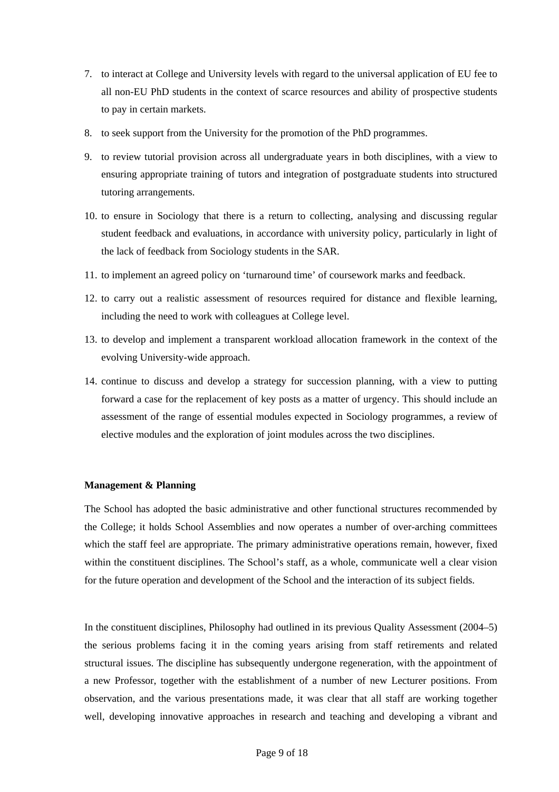- 7. to interact at College and University levels with regard to the universal application of EU fee to all non-EU PhD students in the context of scarce resources and ability of prospective students to pay in certain markets.
- 8. to seek support from the University for the promotion of the PhD programmes.
- 9. to review tutorial provision across all undergraduate years in both disciplines, with a view to ensuring appropriate training of tutors and integration of postgraduate students into structured tutoring arrangements.
- 10. to ensure in Sociology that there is a return to collecting, analysing and discussing regular student feedback and evaluations, in accordance with university policy, particularly in light of the lack of feedback from Sociology students in the SAR.
- 11. to implement an agreed policy on 'turnaround time' of coursework marks and feedback.
- 12. to carry out a realistic assessment of resources required for distance and flexible learning, including the need to work with colleagues at College level.
- 13. to develop and implement a transparent workload allocation framework in the context of the evolving University-wide approach.
- 14. continue to discuss and develop a strategy for succession planning, with a view to putting forward a case for the replacement of key posts as a matter of urgency. This should include an assessment of the range of essential modules expected in Sociology programmes, a review of elective modules and the exploration of joint modules across the two disciplines.

#### **Management & Planning**

The School has adopted the basic administrative and other functional structures recommended by the College; it holds School Assemblies and now operates a number of over-arching committees which the staff feel are appropriate. The primary administrative operations remain, however, fixed within the constituent disciplines. The School's staff, as a whole, communicate well a clear vision for the future operation and development of the School and the interaction of its subject fields.

In the constituent disciplines, Philosophy had outlined in its previous Quality Assessment (2004–5) the serious problems facing it in the coming years arising from staff retirements and related structural issues. The discipline has subsequently undergone regeneration, with the appointment of a new Professor, together with the establishment of a number of new Lecturer positions. From observation, and the various presentations made, it was clear that all staff are working together well, developing innovative approaches in research and teaching and developing a vibrant and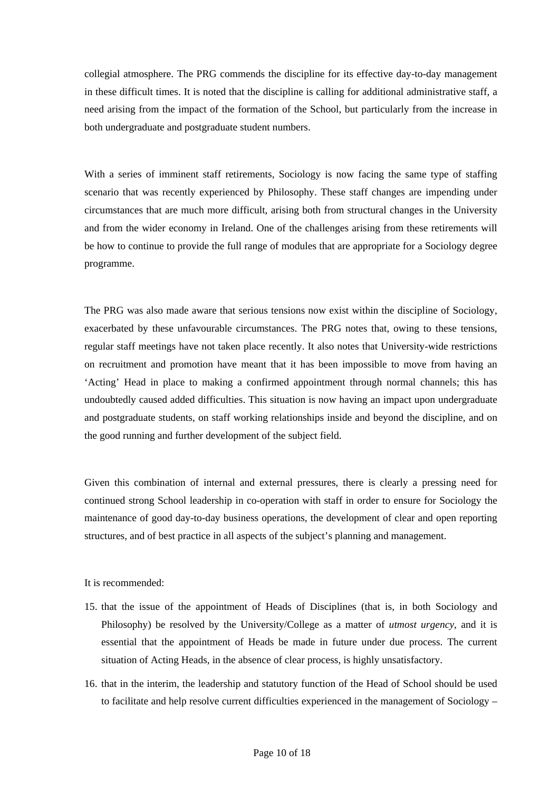collegial atmosphere. The PRG commends the discipline for its effective day-to-day management in these difficult times. It is noted that the discipline is calling for additional administrative staff, a need arising from the impact of the formation of the School, but particularly from the increase in both undergraduate and postgraduate student numbers.

With a series of imminent staff retirements, Sociology is now facing the same type of staffing scenario that was recently experienced by Philosophy. These staff changes are impending under circumstances that are much more difficult, arising both from structural changes in the University and from the wider economy in Ireland. One of the challenges arising from these retirements will be how to continue to provide the full range of modules that are appropriate for a Sociology degree programme.

The PRG was also made aware that serious tensions now exist within the discipline of Sociology, exacerbated by these unfavourable circumstances. The PRG notes that, owing to these tensions, regular staff meetings have not taken place recently. It also notes that University-wide restrictions on recruitment and promotion have meant that it has been impossible to move from having an 'Acting' Head in place to making a confirmed appointment through normal channels; this has undoubtedly caused added difficulties. This situation is now having an impact upon undergraduate and postgraduate students, on staff working relationships inside and beyond the discipline, and on the good running and further development of the subject field.

Given this combination of internal and external pressures, there is clearly a pressing need for continued strong School leadership in co-operation with staff in order to ensure for Sociology the maintenance of good day-to-day business operations, the development of clear and open reporting structures, and of best practice in all aspects of the subject's planning and management.

It is recommended:

- 15. that the issue of the appointment of Heads of Disciplines (that is, in both Sociology and Philosophy) be resolved by the University/College as a matter of *utmost urgency*, and it is essential that the appointment of Heads be made in future under due process. The current situation of Acting Heads, in the absence of clear process, is highly unsatisfactory.
- 16. that in the interim, the leadership and statutory function of the Head of School should be used to facilitate and help resolve current difficulties experienced in the management of Sociology –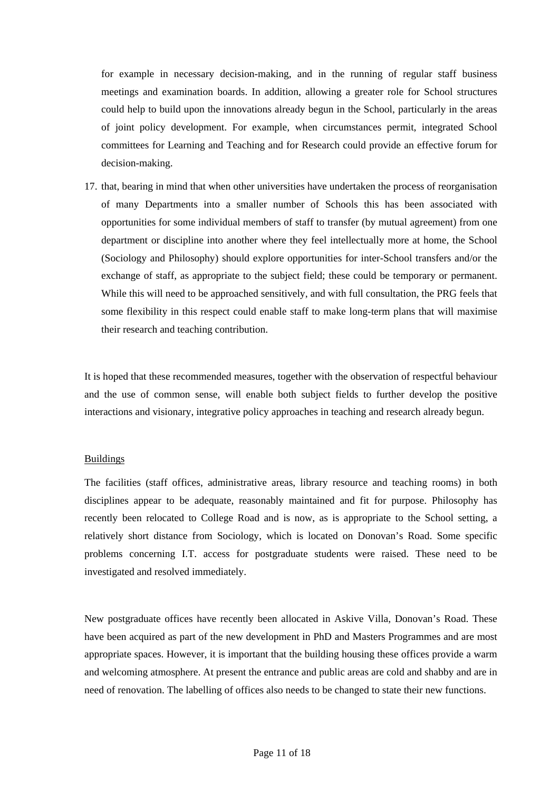for example in necessary decision-making, and in the running of regular staff business meetings and examination boards. In addition, allowing a greater role for School structures could help to build upon the innovations already begun in the School, particularly in the areas of joint policy development. For example, when circumstances permit, integrated School committees for Learning and Teaching and for Research could provide an effective forum for decision-making.

17. that, bearing in mind that when other universities have undertaken the process of reorganisation of many Departments into a smaller number of Schools this has been associated with opportunities for some individual members of staff to transfer (by mutual agreement) from one department or discipline into another where they feel intellectually more at home, the School (Sociology and Philosophy) should explore opportunities for inter-School transfers and/or the exchange of staff, as appropriate to the subject field; these could be temporary or permanent. While this will need to be approached sensitively, and with full consultation, the PRG feels that some flexibility in this respect could enable staff to make long-term plans that will maximise their research and teaching contribution.

It is hoped that these recommended measures, together with the observation of respectful behaviour and the use of common sense, will enable both subject fields to further develop the positive interactions and visionary, integrative policy approaches in teaching and research already begun.

#### Buildings

The facilities (staff offices, administrative areas, library resource and teaching rooms) in both disciplines appear to be adequate, reasonably maintained and fit for purpose. Philosophy has recently been relocated to College Road and is now, as is appropriate to the School setting, a relatively short distance from Sociology, which is located on Donovan's Road. Some specific problems concerning I.T. access for postgraduate students were raised. These need to be investigated and resolved immediately.

New postgraduate offices have recently been allocated in Askive Villa, Donovan's Road. These have been acquired as part of the new development in PhD and Masters Programmes and are most appropriate spaces. However, it is important that the building housing these offices provide a warm and welcoming atmosphere. At present the entrance and public areas are cold and shabby and are in need of renovation. The labelling of offices also needs to be changed to state their new functions.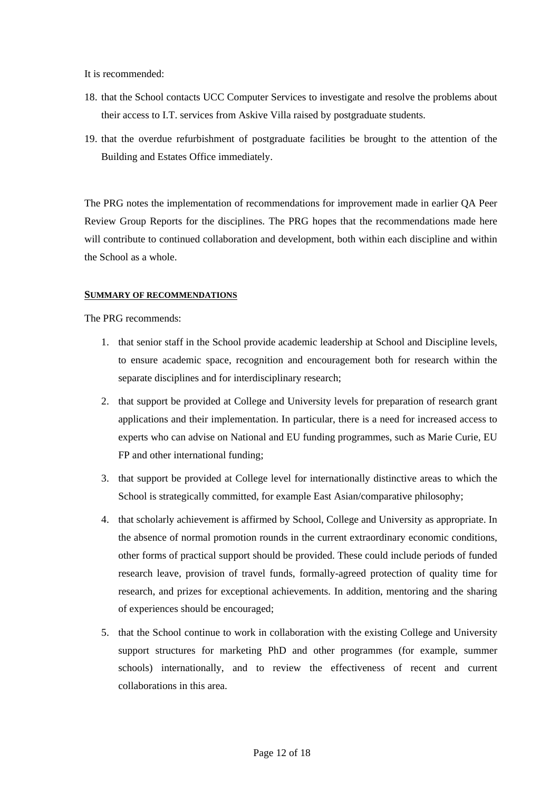It is recommended:

- 18. that the School contacts UCC Computer Services to investigate and resolve the problems about their access to I.T. services from Askive Villa raised by postgraduate students.
- 19. that the overdue refurbishment of postgraduate facilities be brought to the attention of the Building and Estates Office immediately.

The PRG notes the implementation of recommendations for improvement made in earlier QA Peer Review Group Reports for the disciplines. The PRG hopes that the recommendations made here will contribute to continued collaboration and development, both within each discipline and within the School as a whole.

#### **SUMMARY OF RECOMMENDATIONS**

The PRG recommends:

- 1. that senior staff in the School provide academic leadership at School and Discipline levels, to ensure academic space, recognition and encouragement both for research within the separate disciplines and for interdisciplinary research;
- 2. that support be provided at College and University levels for preparation of research grant applications and their implementation. In particular, there is a need for increased access to experts who can advise on National and EU funding programmes, such as Marie Curie, EU FP and other international funding;
- 3. that support be provided at College level for internationally distinctive areas to which the School is strategically committed, for example East Asian/comparative philosophy;
- 4. that scholarly achievement is affirmed by School, College and University as appropriate. In the absence of normal promotion rounds in the current extraordinary economic conditions, other forms of practical support should be provided. These could include periods of funded research leave, provision of travel funds, formally-agreed protection of quality time for research, and prizes for exceptional achievements. In addition, mentoring and the sharing of experiences should be encouraged;
- 5. that the School continue to work in collaboration with the existing College and University support structures for marketing PhD and other programmes (for example, summer schools) internationally, and to review the effectiveness of recent and current collaborations in this area.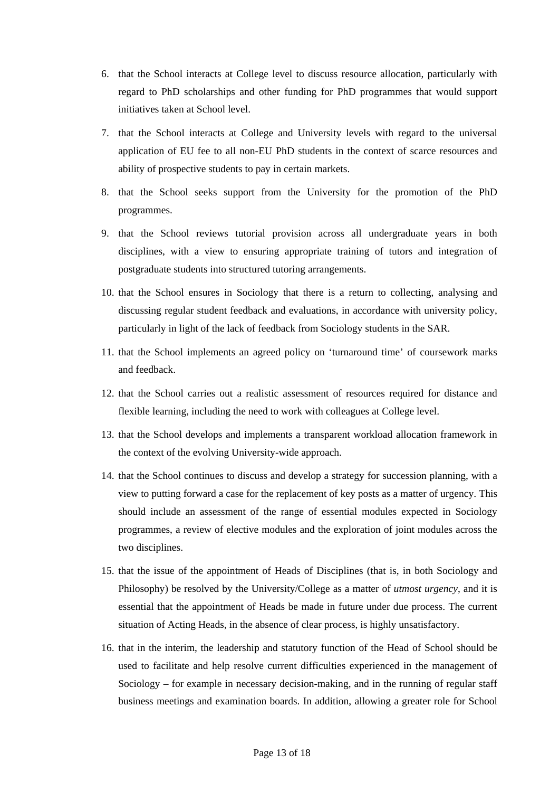- 6. that the School interacts at College level to discuss resource allocation, particularly with regard to PhD scholarships and other funding for PhD programmes that would support initiatives taken at School level.
- 7. that the School interacts at College and University levels with regard to the universal application of EU fee to all non-EU PhD students in the context of scarce resources and ability of prospective students to pay in certain markets.
- 8. that the School seeks support from the University for the promotion of the PhD programmes.
- 9. that the School reviews tutorial provision across all undergraduate years in both disciplines, with a view to ensuring appropriate training of tutors and integration of postgraduate students into structured tutoring arrangements.
- 10. that the School ensures in Sociology that there is a return to collecting, analysing and discussing regular student feedback and evaluations, in accordance with university policy, particularly in light of the lack of feedback from Sociology students in the SAR.
- 11. that the School implements an agreed policy on 'turnaround time' of coursework marks and feedback.
- 12. that the School carries out a realistic assessment of resources required for distance and flexible learning, including the need to work with colleagues at College level.
- 13. that the School develops and implements a transparent workload allocation framework in the context of the evolving University-wide approach.
- 14. that the School continues to discuss and develop a strategy for succession planning, with a view to putting forward a case for the replacement of key posts as a matter of urgency. This should include an assessment of the range of essential modules expected in Sociology programmes, a review of elective modules and the exploration of joint modules across the two disciplines.
- 15. that the issue of the appointment of Heads of Disciplines (that is, in both Sociology and Philosophy) be resolved by the University/College as a matter of *utmost urgency*, and it is essential that the appointment of Heads be made in future under due process. The current situation of Acting Heads, in the absence of clear process, is highly unsatisfactory.
- 16. that in the interim, the leadership and statutory function of the Head of School should be used to facilitate and help resolve current difficulties experienced in the management of Sociology – for example in necessary decision-making, and in the running of regular staff business meetings and examination boards. In addition, allowing a greater role for School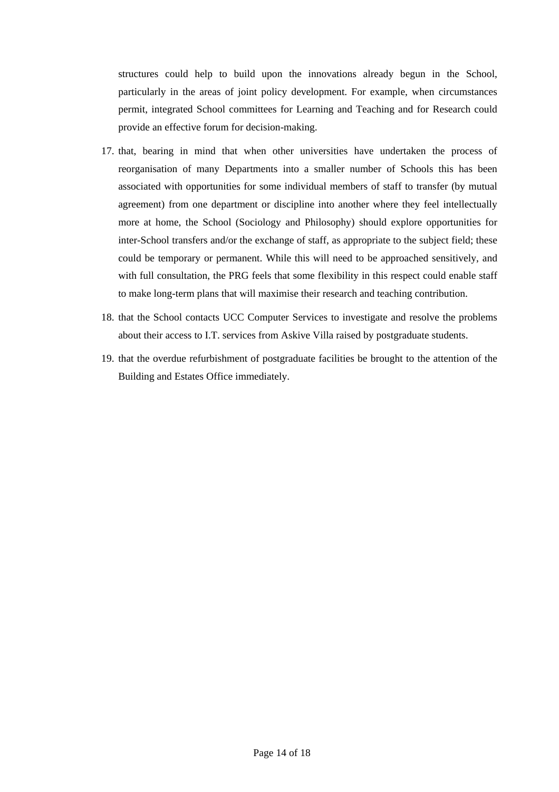structures could help to build upon the innovations already begun in the School, particularly in the areas of joint policy development. For example, when circumstances permit, integrated School committees for Learning and Teaching and for Research could provide an effective forum for decision-making.

- 17. that, bearing in mind that when other universities have undertaken the process of reorganisation of many Departments into a smaller number of Schools this has been associated with opportunities for some individual members of staff to transfer (by mutual agreement) from one department or discipline into another where they feel intellectually more at home, the School (Sociology and Philosophy) should explore opportunities for inter-School transfers and/or the exchange of staff, as appropriate to the subject field; these could be temporary or permanent. While this will need to be approached sensitively, and with full consultation, the PRG feels that some flexibility in this respect could enable staff to make long-term plans that will maximise their research and teaching contribution.
- 18. that the School contacts UCC Computer Services to investigate and resolve the problems about their access to I.T. services from Askive Villa raised by postgraduate students.
- 19. that the overdue refurbishment of postgraduate facilities be brought to the attention of the Building and Estates Office immediately.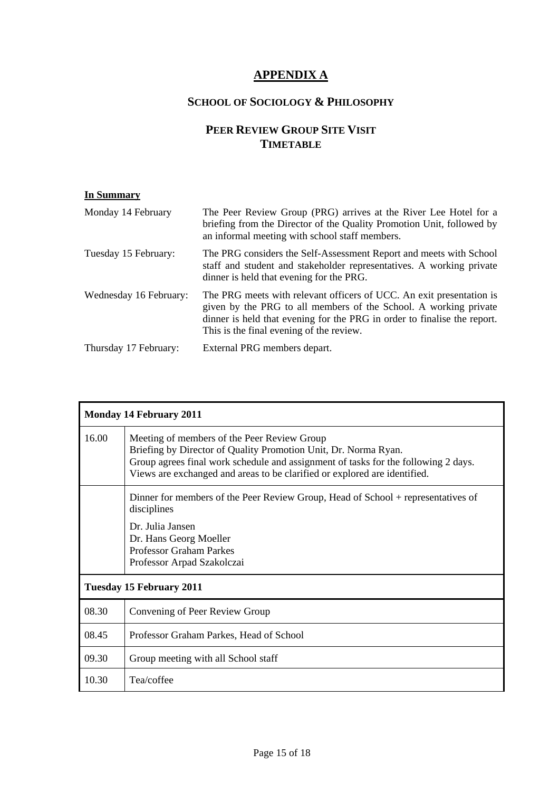## **APPENDIX A**

### **SCHOOL OF SOCIOLOGY & PHILOSOPHY**

## **PEER REVIEW GROUP SITE VISIT TIMETABLE**

### **In Summary**

| Monday 14 February     | The Peer Review Group (PRG) arrives at the River Lee Hotel for a<br>briefing from the Director of the Quality Promotion Unit, followed by<br>an informal meeting with school staff members.                                                                      |
|------------------------|------------------------------------------------------------------------------------------------------------------------------------------------------------------------------------------------------------------------------------------------------------------|
| Tuesday 15 February:   | The PRG considers the Self-Assessment Report and meets with School<br>staff and student and stakeholder representatives. A working private<br>dinner is held that evening for the PRG.                                                                           |
| Wednesday 16 February: | The PRG meets with relevant officers of UCC. An exit presentation is<br>given by the PRG to all members of the School. A working private<br>dinner is held that evening for the PRG in order to finalise the report.<br>This is the final evening of the review. |
| Thursday 17 February:  | External PRG members depart.                                                                                                                                                                                                                                     |

| <b>Monday 14 February 2011</b> |                                                                                                                                                                                                                                                                                   |  |
|--------------------------------|-----------------------------------------------------------------------------------------------------------------------------------------------------------------------------------------------------------------------------------------------------------------------------------|--|
| 16.00                          | Meeting of members of the Peer Review Group<br>Briefing by Director of Quality Promotion Unit, Dr. Norma Ryan.<br>Group agrees final work schedule and assignment of tasks for the following 2 days.<br>Views are exchanged and areas to be clarified or explored are identified. |  |
|                                | Dinner for members of the Peer Review Group, Head of School + representatives of<br>disciplines                                                                                                                                                                                   |  |
|                                | Dr. Julia Jansen<br>Dr. Hans Georg Moeller<br><b>Professor Graham Parkes</b><br>Professor Arpad Szakolczai                                                                                                                                                                        |  |
|                                | <b>Tuesday 15 February 2011</b>                                                                                                                                                                                                                                                   |  |
| 08.30                          | Convening of Peer Review Group                                                                                                                                                                                                                                                    |  |
| 08.45                          | Professor Graham Parkes, Head of School                                                                                                                                                                                                                                           |  |
| 09.30                          | Group meeting with all School staff                                                                                                                                                                                                                                               |  |
| 10.30                          | Tea/coffee                                                                                                                                                                                                                                                                        |  |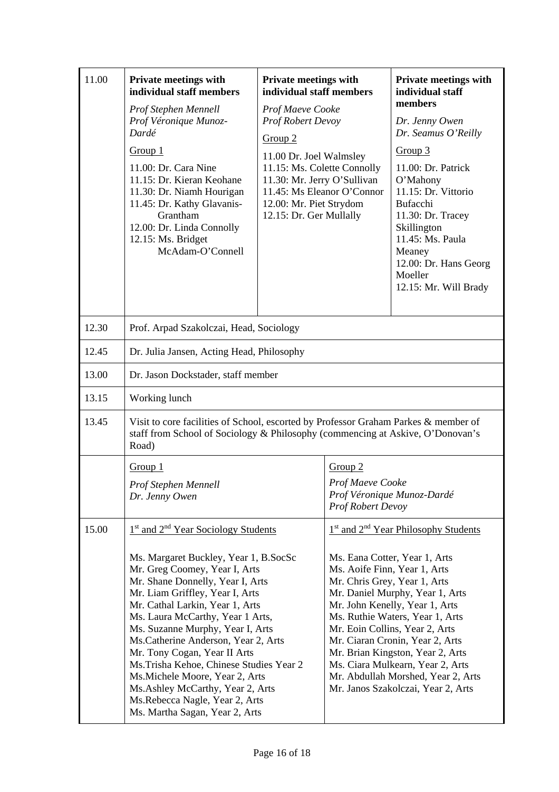| 11.00 | <b>Private meetings with</b><br>individual staff members<br>Prof Stephen Mennell<br>Prof Véronique Munoz-<br>Dardé<br>Group 1<br>11.00: Dr. Cara Nine<br>11.15: Dr. Kieran Keohane<br>11.30: Dr. Niamh Hourigan<br>11.45: Dr. Kathy Glavanis-<br>Grantham<br>12.00: Dr. Linda Connolly<br>12.15: Ms. Bridget<br>McAdam-O'Connell                                                                                                                                                                                        | <b>Private meetings with</b><br>individual staff members<br>Prof Maeve Cooke<br>Prof Robert Devoy<br>Group 2<br>11.00 Dr. Joel Walmsley<br>11.15: Ms. Colette Connolly<br>11.30: Mr. Jerry O'Sullivan<br>12.00: Mr. Piet Strydom<br>12.15: Dr. Ger Mullally | 11.45: Ms Eleanor O'Connor                                   | Private meetings with<br>individual staff<br>members<br>Dr. Jenny Owen<br>Dr. Seamus O'Reilly<br>Group $3$<br>11.00: Dr. Patrick<br>O'Mahony<br>11.15: Dr. Vittorio<br><b>Bufacchi</b><br>11.30: Dr. Tracey<br>Skillington<br>11.45: Ms. Paula<br>Meaney<br>12.00: Dr. Hans Georg<br>Moeller<br>12.15: Mr. Will Brady                                          |
|-------|-------------------------------------------------------------------------------------------------------------------------------------------------------------------------------------------------------------------------------------------------------------------------------------------------------------------------------------------------------------------------------------------------------------------------------------------------------------------------------------------------------------------------|-------------------------------------------------------------------------------------------------------------------------------------------------------------------------------------------------------------------------------------------------------------|--------------------------------------------------------------|----------------------------------------------------------------------------------------------------------------------------------------------------------------------------------------------------------------------------------------------------------------------------------------------------------------------------------------------------------------|
| 12.30 | Prof. Arpad Szakolczai, Head, Sociology                                                                                                                                                                                                                                                                                                                                                                                                                                                                                 |                                                                                                                                                                                                                                                             |                                                              |                                                                                                                                                                                                                                                                                                                                                                |
| 12.45 | Dr. Julia Jansen, Acting Head, Philosophy                                                                                                                                                                                                                                                                                                                                                                                                                                                                               |                                                                                                                                                                                                                                                             |                                                              |                                                                                                                                                                                                                                                                                                                                                                |
| 13.00 | Dr. Jason Dockstader, staff member                                                                                                                                                                                                                                                                                                                                                                                                                                                                                      |                                                                                                                                                                                                                                                             |                                                              |                                                                                                                                                                                                                                                                                                                                                                |
| 13.15 | Working lunch                                                                                                                                                                                                                                                                                                                                                                                                                                                                                                           |                                                                                                                                                                                                                                                             |                                                              |                                                                                                                                                                                                                                                                                                                                                                |
| 13.45 | Visit to core facilities of School, escorted by Professor Graham Parkes & member of<br>staff from School of Sociology & Philosophy (commencing at Askive, O'Donovan's<br>Road)                                                                                                                                                                                                                                                                                                                                          |                                                                                                                                                                                                                                                             |                                                              |                                                                                                                                                                                                                                                                                                                                                                |
|       | Group 1                                                                                                                                                                                                                                                                                                                                                                                                                                                                                                                 |                                                                                                                                                                                                                                                             | Group 2                                                      |                                                                                                                                                                                                                                                                                                                                                                |
|       | Prof Stephen Mennell<br>Dr. Jenny Owen                                                                                                                                                                                                                                                                                                                                                                                                                                                                                  |                                                                                                                                                                                                                                                             | Prof Maeve Cooke<br>Prof Robert Devoy                        | Prof Véronique Munoz-Dardé                                                                                                                                                                                                                                                                                                                                     |
| 15.00 | $1st$ and $2nd$ Year Sociology Students                                                                                                                                                                                                                                                                                                                                                                                                                                                                                 |                                                                                                                                                                                                                                                             | 1 <sup>st</sup> and 2 <sup>nd</sup> Year Philosophy Students |                                                                                                                                                                                                                                                                                                                                                                |
|       | Ms. Margaret Buckley, Year 1, B.SocSc<br>Mr. Greg Coomey, Year I, Arts<br>Mr. Shane Donnelly, Year I, Arts<br>Mr. Liam Griffley, Year I, Arts<br>Mr. Cathal Larkin, Year 1, Arts<br>Ms. Laura McCarthy, Year 1 Arts,<br>Ms. Suzanne Murphy, Year I, Arts<br>Ms. Catherine Anderson, Year 2, Arts<br>Mr. Tony Cogan, Year II Arts<br>Ms. Trisha Kehoe, Chinese Studies Year 2<br>Ms. Michele Moore, Year 2, Arts<br>Ms.Ashley McCarthy, Year 2, Arts<br>Ms.Rebecca Nagle, Year 2, Arts<br>Ms. Martha Sagan, Year 2, Arts |                                                                                                                                                                                                                                                             | Ms. Aoife Finn, Year 1, Arts<br>Mr. Chris Grey, Year 1, Arts | Ms. Eana Cotter, Year 1, Arts<br>Mr. Daniel Murphy, Year 1, Arts<br>Mr. John Kenelly, Year 1, Arts<br>Ms. Ruthie Waters, Year 1, Arts<br>Mr. Eoin Collins, Year 2, Arts<br>Mr. Ciaran Cronin, Year 2, Arts<br>Mr. Brian Kingston, Year 2, Arts<br>Ms. Ciara Mulkearn, Year 2, Arts<br>Mr. Abdullah Morshed, Year 2, Arts<br>Mr. Janos Szakolczai, Year 2, Arts |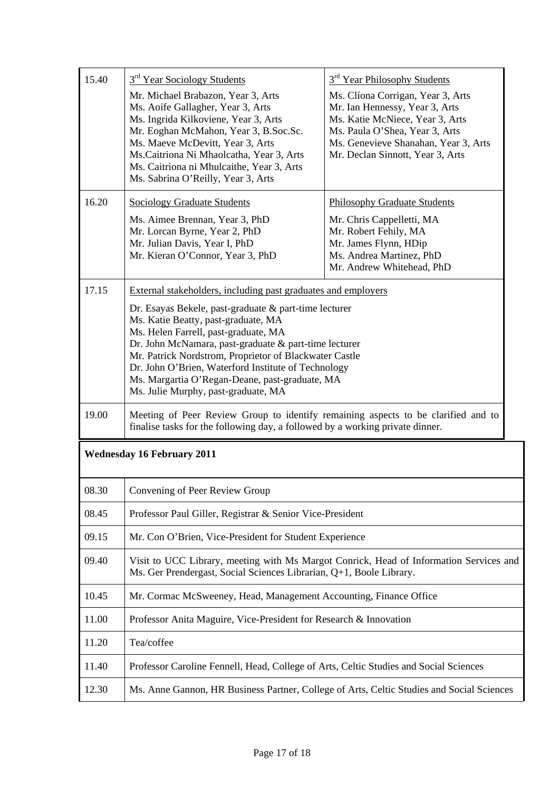| 15.40 | 3 <sup>rd</sup> Year Sociology Students<br>Mr. Michael Brabazon, Year 3, Arts<br>Ms. Aoife Gallagher, Year 3, Arts<br>Ms. Ingrida Kilkoviene, Year 3, Arts<br>Mr. Eoghan McMahon, Year 3, B.Soc.Sc.<br>Ms. Maeve McDevitt, Year 3, Arts<br>Ms. Caitriona Ni Mhaolcatha, Year 3, Arts<br>Ms. Caitriona ni Mhulcaithe, Year 3, Arts<br>Ms. Sabrina O'Reilly, Year 3, Arts                                 | 3 <sup>rd</sup> Year Philosophy Students<br>Ms. Clíona Corrigan, Year 3, Arts<br>Mr. Ian Hennessy, Year 3, Arts<br>Ms. Katie McNiece, Year 3, Arts<br>Ms. Paula O'Shea, Year 3, Arts<br>Ms. Genevieve Shanahan, Year 3, Arts<br>Mr. Declan Sinnott, Year 3, Arts |  |
|-------|---------------------------------------------------------------------------------------------------------------------------------------------------------------------------------------------------------------------------------------------------------------------------------------------------------------------------------------------------------------------------------------------------------|------------------------------------------------------------------------------------------------------------------------------------------------------------------------------------------------------------------------------------------------------------------|--|
| 16.20 | <b>Sociology Graduate Students</b>                                                                                                                                                                                                                                                                                                                                                                      | <b>Philosophy Graduate Students</b>                                                                                                                                                                                                                              |  |
|       | Ms. Aimee Brennan, Year 3, PhD<br>Mr. Lorcan Byrne, Year 2, PhD<br>Mr. Julian Davis, Year I, PhD<br>Mr. Kieran O'Connor, Year 3, PhD                                                                                                                                                                                                                                                                    | Mr. Chris Cappelletti, MA<br>Mr. Robert Fehily, MA<br>Mr. James Flynn, HDip<br>Ms. Andrea Martinez, PhD<br>Mr. Andrew Whitehead, PhD                                                                                                                             |  |
| 17.15 | External stakeholders, including past graduates and employers                                                                                                                                                                                                                                                                                                                                           |                                                                                                                                                                                                                                                                  |  |
|       | Dr. Esayas Bekele, past-graduate & part-time lecturer<br>Ms. Katie Beatty, past-graduate, MA<br>Ms. Helen Farrell, past-graduate, MA<br>Dr. John McNamara, past-graduate & part-time lecturer<br>Mr. Patrick Nordstrom, Proprietor of Blackwater Castle<br>Dr. John O'Brien, Waterford Institute of Technology<br>Ms. Margartia O'Regan-Deane, past-graduate, MA<br>Ms. Julie Murphy, past-graduate, MA |                                                                                                                                                                                                                                                                  |  |
| 19.00 | Meeting of Peer Review Group to identify remaining aspects to be clarified and to<br>finalise tasks for the following day, a followed by a working private dinner.                                                                                                                                                                                                                                      |                                                                                                                                                                                                                                                                  |  |
|       | <b>Wednesday 16 February 2011</b>                                                                                                                                                                                                                                                                                                                                                                       |                                                                                                                                                                                                                                                                  |  |
| 08.30 | Convening of Peer Review Group                                                                                                                                                                                                                                                                                                                                                                          |                                                                                                                                                                                                                                                                  |  |
| 08.45 | Professor Paul Giller, Registrar & Senior Vice-President                                                                                                                                                                                                                                                                                                                                                |                                                                                                                                                                                                                                                                  |  |
| 09.15 | Mr. Con O'Brien, Vice-President for Student Experience                                                                                                                                                                                                                                                                                                                                                  |                                                                                                                                                                                                                                                                  |  |
| 09.40 | Visit to UCC Library, meeting with Ms Margot Conrick, Head of Information Services and<br>Ms. Ger Prendergast, Social Sciences Librarian, Q+1, Boole Library.                                                                                                                                                                                                                                           |                                                                                                                                                                                                                                                                  |  |
| 10.45 | Mr. Cormac McSweeney, Head, Management Accounting, Finance Office                                                                                                                                                                                                                                                                                                                                       |                                                                                                                                                                                                                                                                  |  |
| 11.00 | Professor Anita Maguire, Vice-President for Research & Innovation                                                                                                                                                                                                                                                                                                                                       |                                                                                                                                                                                                                                                                  |  |
| 11.20 | Tea/coffee                                                                                                                                                                                                                                                                                                                                                                                              |                                                                                                                                                                                                                                                                  |  |
| 11.40 | Professor Caroline Fennell, Head, College of Arts, Celtic Studies and Social Sciences                                                                                                                                                                                                                                                                                                                   |                                                                                                                                                                                                                                                                  |  |
| 12.30 | Ms. Anne Gannon, HR Business Partner, College of Arts, Celtic Studies and Social Sciences                                                                                                                                                                                                                                                                                                               |                                                                                                                                                                                                                                                                  |  |